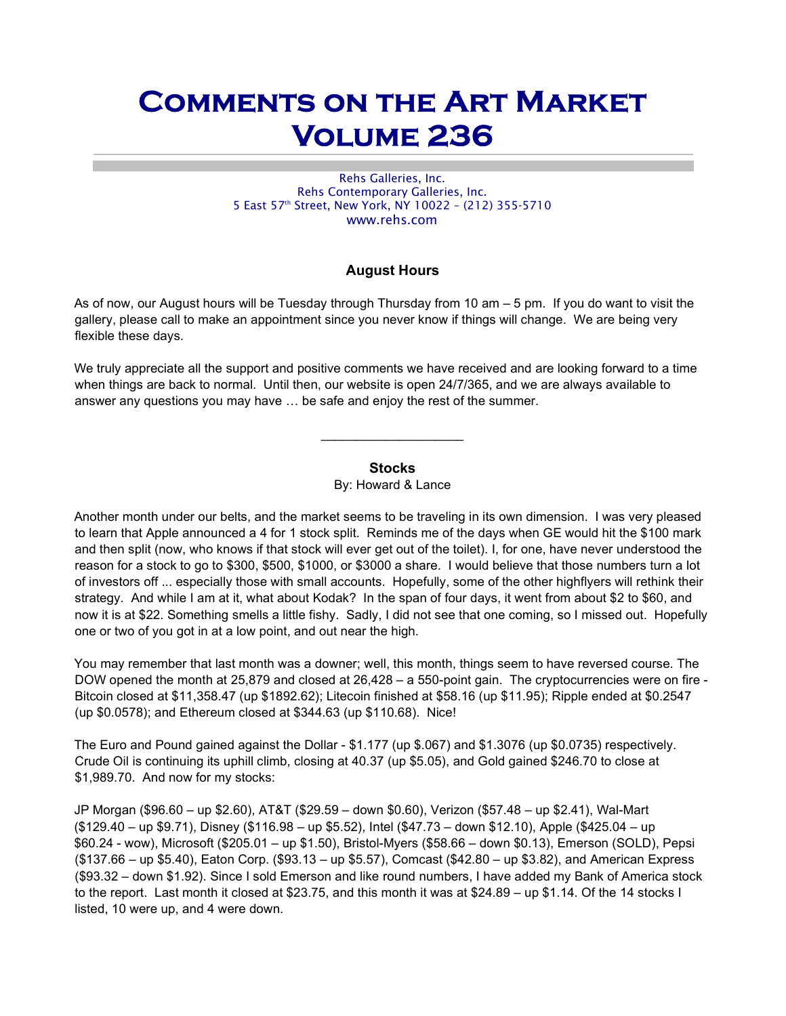# Comments on the Art Market Volume 236

Rehs Galleries, Inc. Rehs Contemporary Galleries, Inc. 5 East 57<sup>th</sup> Street, New York, NY 10022 - (212) 355-5710 www.rehs.com

## August Hours

As of now, our August hours will be Tuesday through Thursday from 10 am – 5 pm. If you do want to visit the gallery, please call to make an appointment since you never know if things will change. We are being very flexible these days.

We truly appreciate all the support and positive comments we have received and are looking forward to a time when things are back to normal. Until then, our website is open 24/7/365, and we are always available to answer any questions you may have … be safe and enjoy the rest of the summer.

## **Stocks**

By: Howard & Lance

Another month under our belts, and the market seems to be traveling in its own dimension. I was very pleased to learn that Apple announced a 4 for 1 stock split. Reminds me of the days when GE would hit the \$100 mark and then split (now, who knows if that stock will ever get out of the toilet). I, for one, have never understood the reason for a stock to go to \$300, \$500, \$1000, or \$3000 a share. I would believe that those numbers turn a lot of investors off ... especially those with small accounts. Hopefully, some of the other highflyers will rethink their strategy. And while I am at it, what about Kodak? In the span of four days, it went from about \$2 to \$60, and now it is at \$22. Something smells a little fishy. Sadly, I did not see that one coming, so I missed out. Hopefully one or two of you got in at a low point, and out near the high.

You may remember that last month was a downer; well, this month, things seem to have reversed course. The DOW opened the month at 25,879 and closed at 26,428 – a 550-point gain. The cryptocurrencies were on fire - Bitcoin closed at \$11,358.47 (up \$1892.62); Litecoin finished at \$58.16 (up \$11.95); Ripple ended at \$0.2547 (up \$0.0578); and Ethereum closed at \$344.63 (up \$110.68). Nice!

The Euro and Pound gained against the Dollar - \$1.177 (up \$.067) and \$1.3076 (up \$0.0735) respectively. Crude Oil is continuing its uphill climb, closing at 40.37 (up \$5.05), and Gold gained \$246.70 to close at \$1,989.70. And now for my stocks:

JP Morgan (\$96.60 – up \$2.60), AT&T (\$29.59 – down \$0.60), Verizon (\$57.48 – up \$2.41), Wal-Mart (\$129.40 – up \$9.71), Disney (\$116.98 – up \$5.52), Intel (\$47.73 – down \$12.10), Apple (\$425.04 – up \$60.24 - wow), Microsoft (\$205.01 – up \$1.50), Bristol-Myers (\$58.66 – down \$0.13), Emerson (SOLD), Pepsi (\$137.66 – up \$5.40), Eaton Corp. (\$93.13 – up \$5.57), Comcast (\$42.80 – up \$3.82), and American Express (\$93.32 – down \$1.92). Since I sold Emerson and like round numbers, I have added my Bank of America stock to the report. Last month it closed at \$23.75, and this month it was at \$24.89 – up \$1.14. Of the 14 stocks I listed, 10 were up, and 4 were down.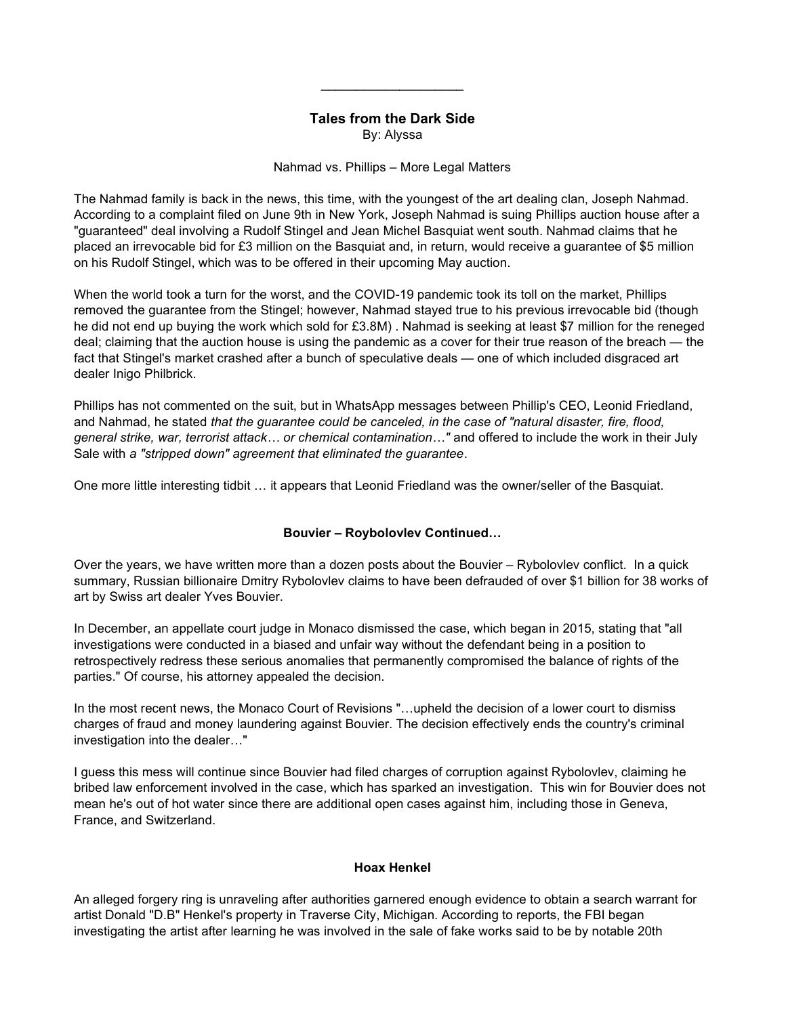## Tales from the Dark Side

 $\overline{\phantom{a}}$  . The set of the set of the set of the set of the set of the set of the set of the set of the set of the set of the set of the set of the set of the set of the set of the set of the set of the set of the set o

By: Alyssa

Nahmad vs. Phillips – More Legal Matters

The Nahmad family is back in the news, this time, with the youngest of the art dealing clan, Joseph Nahmad. According to a complaint filed on June 9th in New York, Joseph Nahmad is suing Phillips auction house after a "guaranteed" deal involving a Rudolf Stingel and Jean Michel Basquiat went south. Nahmad claims that he placed an irrevocable bid for £3 million on the Basquiat and, in return, would receive a guarantee of \$5 million on his Rudolf Stingel, which was to be offered in their upcoming May auction.

When the world took a turn for the worst, and the COVID-19 pandemic took its toll on the market, Phillips removed the guarantee from the Stingel; however, Nahmad stayed true to his previous irrevocable bid (though he did not end up buying the work which sold for £3.8M). Nahmad is seeking at least \$7 million for the reneged deal; claiming that the auction house is using the pandemic as a cover for their true reason of the breach — the fact that Stingel's market crashed after a bunch of speculative deals — one of which included disgraced art dealer Inigo Philbrick.

Phillips has not commented on the suit, but in WhatsApp messages between Phillip's CEO, Leonid Friedland, and Nahmad, he stated that the guarantee could be canceled, in the case of "natural disaster, fire, flood, general strike, war, terrorist attack... or chemical contamination..." and offered to include the work in their July Sale with a "stripped down" agreement that eliminated the guarantee.

One more little interesting tidbit … it appears that Leonid Friedland was the owner/seller of the Basquiat.

## Bouvier – Roybolovlev Continued…

Over the years, we have written more than a dozen posts about the Bouvier – Rybolovlev conflict. In a quick summary, Russian billionaire Dmitry Rybolovlev claims to have been defrauded of over \$1 billion for 38 works of art by Swiss art dealer Yves Bouvier.

In December, an appellate court judge in Monaco dismissed the case, which began in 2015, stating that "all investigations were conducted in a biased and unfair way without the defendant being in a position to retrospectively redress these serious anomalies that permanently compromised the balance of rights of the parties." Of course, his attorney appealed the decision.

In the most recent news, the Monaco Court of Revisions "…upheld the decision of a lower court to dismiss charges of fraud and money laundering against Bouvier. The decision effectively ends the country's criminal investigation into the dealer…"

I guess this mess will continue since Bouvier had filed charges of corruption against Rybolovlev, claiming he bribed law enforcement involved in the case, which has sparked an investigation. This win for Bouvier does not mean he's out of hot water since there are additional open cases against him, including those in Geneva, France, and Switzerland.

#### Hoax Henkel

An alleged forgery ring is unraveling after authorities garnered enough evidence to obtain a search warrant for artist Donald "D.B" Henkel's property in Traverse City, Michigan. According to reports, the FBI began investigating the artist after learning he was involved in the sale of fake works said to be by notable 20th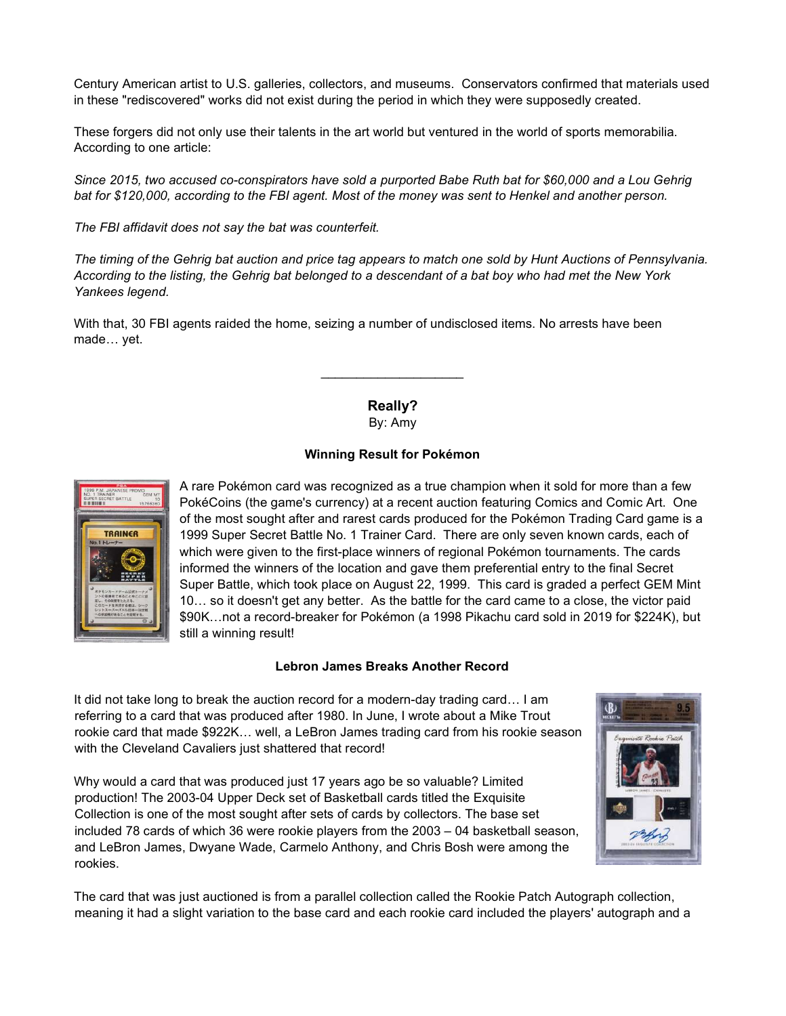Century American artist to U.S. galleries, collectors, and museums. Conservators confirmed that materials used in these "rediscovered" works did not exist during the period in which they were supposedly created.

These forgers did not only use their talents in the art world but ventured in the world of sports memorabilia. According to one article:

Since 2015, two accused co-conspirators have sold a purported Babe Ruth bat for \$60,000 and a Lou Gehrig bat for \$120,000, according to the FBI agent. Most of the money was sent to Henkel and another person.

The FBI affidavit does not say the bat was counterfeit.

The timing of the Gehrig bat auction and price tag appears to match one sold by Hunt Auctions of Pennsylvania. According to the listing, the Gehrig bat belonged to a descendant of a bat boy who had met the New York Yankees legend.

With that, 30 FBI agents raided the home, seizing a number of undisclosed items. No arrests have been made… yet.

> Really? By: Amy

#### Winning Result for Pokémon



A rare Pokémon card was recognized as a true champion when it sold for more than a few PokéCoins (the game's currency) at a recent auction featuring Comics and Comic Art. One of the most sought after and rarest cards produced for the Pokémon Trading Card game is a 1999 Super Secret Battle No. 1 Trainer Card. There are only seven known cards, each of which were given to the first-place winners of regional Pokémon tournaments. The cards informed the winners of the location and gave them preferential entry to the final Secret Super Battle, which took place on August 22, 1999. This card is graded a perfect GEM Mint 10… so it doesn't get any better. As the battle for the card came to a close, the victor paid \$90K…not a record-breaker for Pokémon (a 1998 Pikachu card sold in 2019 for \$224K), but still a winning result!

#### Lebron James Breaks Another Record

It did not take long to break the auction record for a modern-day trading card… I am referring to a card that was produced after 1980. In June, I wrote about a Mike Trout rookie card that made \$922K… well, a LeBron James trading card from his rookie season with the Cleveland Cavaliers just shattered that record!

Why would a card that was produced just 17 years ago be so valuable? Limited production! The 2003-04 Upper Deck set of Basketball cards titled the Exquisite Collection is one of the most sought after sets of cards by collectors. The base set included 78 cards of which 36 were rookie players from the 2003 – 04 basketball season, and LeBron James, Dwyane Wade, Carmelo Anthony, and Chris Bosh were among the rookies.



The card that was just auctioned is from a parallel collection called the Rookie Patch Autograph collection, meaning it had a slight variation to the base card and each rookie card included the players' autograph and a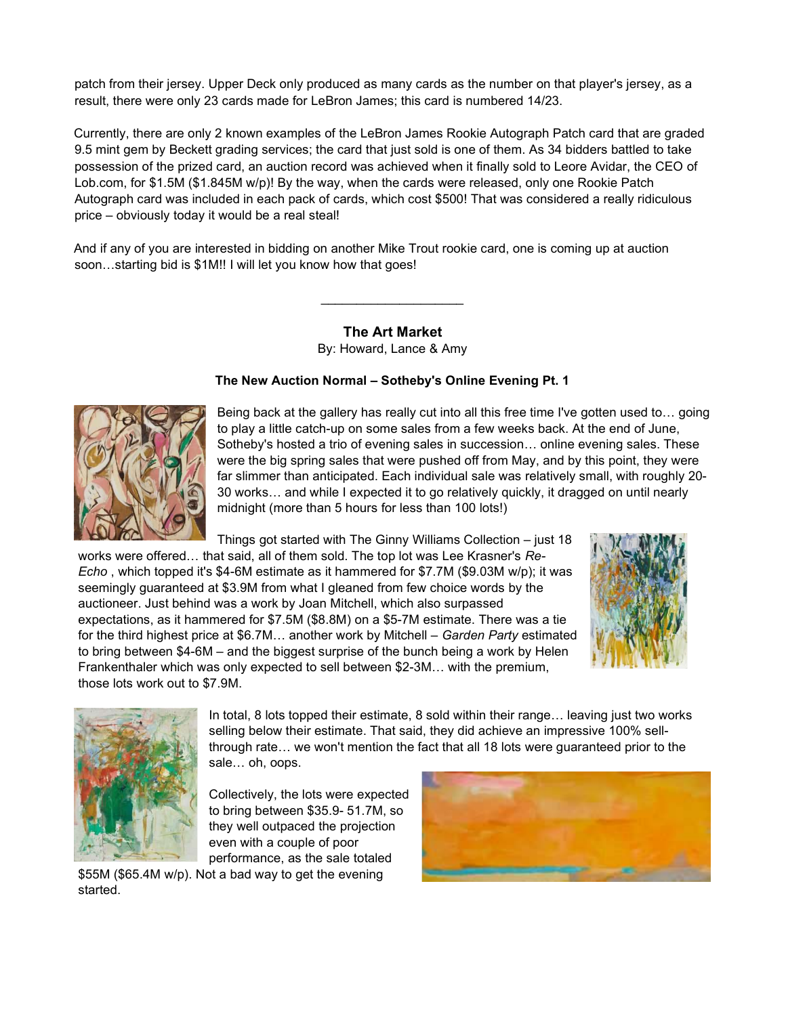patch from their jersey. Upper Deck only produced as many cards as the number on that player's jersey, as a result, there were only 23 cards made for LeBron James; this card is numbered 14/23.

Currently, there are only 2 known examples of the LeBron James Rookie Autograph Patch card that are graded 9.5 mint gem by Beckett grading services; the card that just sold is one of them. As 34 bidders battled to take possession of the prized card, an auction record was achieved when it finally sold to Leore Avidar, the CEO of Lob.com, for \$1.5M (\$1.845M w/p)! By the way, when the cards were released, only one Rookie Patch Autograph card was included in each pack of cards, which cost \$500! That was considered a really ridiculous price – obviously today it would be a real steal!

And if any of you are interested in bidding on another Mike Trout rookie card, one is coming up at auction soon...starting bid is \$1M!! I will let you know how that goes!

> The Art Market By: Howard, Lance & Amy

 $\overline{\phantom{a}}$  . The set of the set of the set of the set of the set of the set of the set of the set of the set of the set of the set of the set of the set of the set of the set of the set of the set of the set of the set o

#### The New Auction Normal – Sotheby's Online Evening Pt. 1



Being back at the gallery has really cut into all this free time I've gotten used to… going to play a little catch-up on some sales from a few weeks back. At the end of June, Sotheby's hosted a trio of evening sales in succession… online evening sales. These were the big spring sales that were pushed off from May, and by this point, they were far slimmer than anticipated. Each individual sale was relatively small, with roughly 20- 30 works… and while I expected it to go relatively quickly, it dragged on until nearly midnight (more than 5 hours for less than 100 lots!)

Things got started with The Ginny Williams Collection – just 18 works were offered... that said, all of them sold. The top lot was Lee Krasner's Re-Echo , which topped it's \$4-6M estimate as it hammered for \$7.7M (\$9.03M w/p); it was seemingly guaranteed at \$3.9M from what I gleaned from few choice words by the auctioneer. Just behind was a work by Joan Mitchell, which also surpassed expectations, as it hammered for \$7.5M (\$8.8M) on a \$5-7M estimate. There was a tie for the third highest price at \$6.7M... another work by Mitchell - Garden Party estimated to bring between \$4-6M – and the biggest surprise of the bunch being a work by Helen Frankenthaler which was only expected to sell between \$2-3M… with the premium, those lots work out to \$7.9M.





In total, 8 lots topped their estimate, 8 sold within their range… leaving just two works selling below their estimate. That said, they did achieve an impressive 100% sellthrough rate… we won't mention the fact that all 18 lots were guaranteed prior to the sale… oh, oops.

Collectively, the lots were expected to bring between \$35.9- 51.7M, so they well outpaced the projection even with a couple of poor performance, as the sale totaled

\$55M (\$65.4M w/p). Not a bad way to get the evening started.

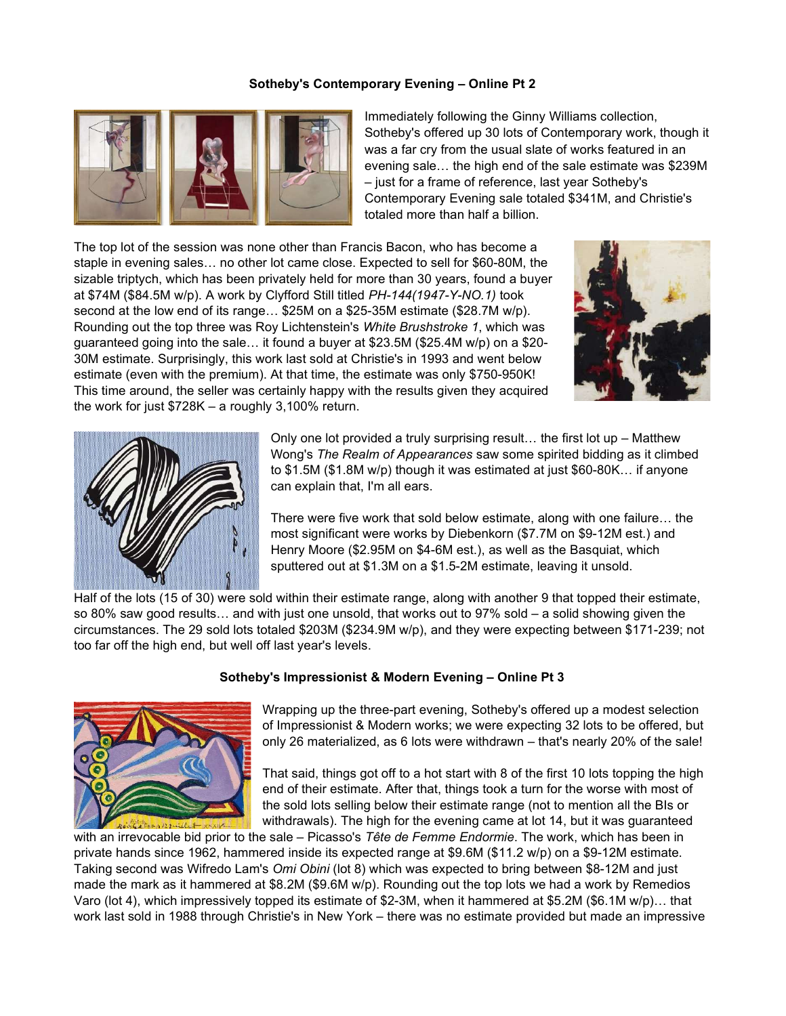## Sotheby's Contemporary Evening – Online Pt 2



Immediately following the Ginny Williams collection, Sotheby's offered up 30 lots of Contemporary work, though it was a far cry from the usual slate of works featured in an evening sale… the high end of the sale estimate was \$239M – just for a frame of reference, last year Sotheby's Contemporary Evening sale totaled \$341M, and Christie's totaled more than half a billion.

The top lot of the session was none other than Francis Bacon, who has become a staple in evening sales… no other lot came close. Expected to sell for \$60-80M, the sizable triptych, which has been privately held for more than 30 years, found a buyer at \$74M (\$84.5M w/p). A work by Clyfford Still titled PH-144(1947-Y-NO.1) took second at the low end of its range... \$25M on a \$25-35M estimate (\$28.7M w/p). Rounding out the top three was Roy Lichtenstein's White Brushstroke 1, which was guaranteed going into the sale… it found a buyer at \$23.5M (\$25.4M w/p) on a \$20- 30M estimate. Surprisingly, this work last sold at Christie's in 1993 and went below estimate (even with the premium). At that time, the estimate was only \$750-950K! This time around, the seller was certainly happy with the results given they acquired the work for just \$728K – a roughly 3,100% return.





Only one lot provided a truly surprising result… the first lot up – Matthew Wong's The Realm of Appearances saw some spirited bidding as it climbed to \$1.5M (\$1.8M w/p) though it was estimated at just \$60-80K… if anyone can explain that, I'm all ears.

There were five work that sold below estimate, along with one failure… the most significant were works by Diebenkorn (\$7.7M on \$9-12M est.) and Henry Moore (\$2.95M on \$4-6M est.), as well as the Basquiat, which sputtered out at \$1.3M on a \$1.5-2M estimate, leaving it unsold.

Half of the lots (15 of 30) were sold within their estimate range, along with another 9 that topped their estimate, so 80% saw good results… and with just one unsold, that works out to 97% sold – a solid showing given the circumstances. The 29 sold lots totaled \$203M (\$234.9M w/p), and they were expecting between \$171-239; not too far off the high end, but well off last year's levels.

#### Sotheby's Impressionist & Modern Evening – Online Pt 3



Wrapping up the three-part evening, Sotheby's offered up a modest selection of Impressionist & Modern works; we were expecting 32 lots to be offered, but only 26 materialized, as 6 lots were withdrawn – that's nearly 20% of the sale!

That said, things got off to a hot start with 8 of the first 10 lots topping the high end of their estimate. After that, things took a turn for the worse with most of the sold lots selling below their estimate range (not to mention all the BIs or withdrawals). The high for the evening came at lot 14, but it was guaranteed

with an irrevocable bid prior to the sale – Picasso's Tête de Femme Endormie. The work, which has been in private hands since 1962, hammered inside its expected range at \$9.6M (\$11.2 w/p) on a \$9-12M estimate. Taking second was Wifredo Lam's Omi Obini (lot 8) which was expected to bring between \$8-12M and just made the mark as it hammered at \$8.2M (\$9.6M w/p). Rounding out the top lots we had a work by Remedios Varo (lot 4), which impressively topped its estimate of \$2-3M, when it hammered at \$5.2M (\$6.1M w/p)… that work last sold in 1988 through Christie's in New York – there was no estimate provided but made an impressive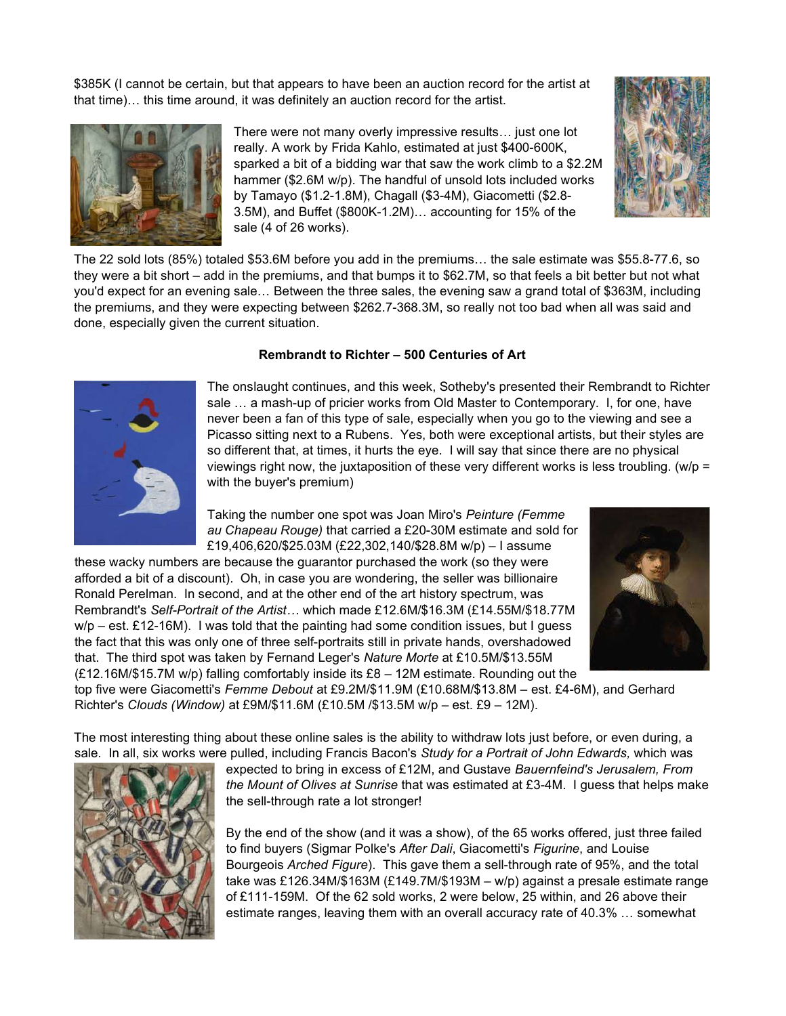\$385K (I cannot be certain, but that appears to have been an auction record for the artist at that time)… this time around, it was definitely an auction record for the artist.



There were not many overly impressive results… just one lot really. A work by Frida Kahlo, estimated at just \$400-600K, sparked a bit of a bidding war that saw the work climb to a \$2.2M hammer (\$2.6M w/p). The handful of unsold lots included works by Tamayo (\$1.2-1.8M), Chagall (\$3-4M), Giacometti (\$2.8- 3.5M), and Buffet (\$800K-1.2M)… accounting for 15% of the sale (4 of 26 works).



The 22 sold lots (85%) totaled \$53.6M before you add in the premiums… the sale estimate was \$55.8-77.6, so they were a bit short – add in the premiums, and that bumps it to \$62.7M, so that feels a bit better but not what you'd expect for an evening sale… Between the three sales, the evening saw a grand total of \$363M, including the premiums, and they were expecting between \$262.7-368.3M, so really not too bad when all was said and done, especially given the current situation.

#### Rembrandt to Richter – 500 Centuries of Art



The onslaught continues, and this week, Sotheby's presented their Rembrandt to Richter sale … a mash-up of pricier works from Old Master to Contemporary. I, for one, have never been a fan of this type of sale, especially when you go to the viewing and see a Picasso sitting next to a Rubens. Yes, both were exceptional artists, but their styles are so different that, at times, it hurts the eye. I will say that since there are no physical viewings right now, the juxtaposition of these very different works is less troubling. (w/p = with the buyer's premium)

Taking the number one spot was Joan Miro's Peinture (Femme au Chapeau Rouge) that carried a £20-30M estimate and sold for £19,406,620/\$25.03M (£22,302,140/\$28.8M w/p) – I assume

these wacky numbers are because the guarantor purchased the work (so they were afforded a bit of a discount). Oh, in case you are wondering, the seller was billionaire Ronald Perelman. In second, and at the other end of the art history spectrum, was Rembrandt's Self-Portrait of the Artist… which made £12.6M/\$16.3M (£14.55M/\$18.77M  $w/p - est$ . £12-16M). I was told that the painting had some condition issues, but I guess the fact that this was only one of three self-portraits still in private hands, overshadowed that. The third spot was taken by Fernand Leger's Nature Morte at £10.5M/\$13.55M (£12.16M/\$15.7M w/p) falling comfortably inside its £8 – 12M estimate. Rounding out the



top five were Giacometti's Femme Debout at £9.2M/\$11.9M (£10.68M/\$13.8M - est. £4-6M), and Gerhard Richter's Clouds (Window) at £9M/\$11.6M (£10.5M /\$13.5M w/p – est. £9 – 12M).

The most interesting thing about these online sales is the ability to withdraw lots just before, or even during, a sale. In all, six works were pulled, including Francis Bacon's Study for a Portrait of John Edwards, which was



expected to bring in excess of £12M, and Gustave Bauernfeind's Jerusalem, From the Mount of Olives at Sunrise that was estimated at  $£3-4M$ . I quess that helps make the sell-through rate a lot stronger!

By the end of the show (and it was a show), of the 65 works offered, just three failed to find buyers (Sigmar Polke's After Dali, Giacometti's Figurine, and Louise Bourgeois Arched Figure). This gave them a sell-through rate of 95%, and the total take was £126.34M/\$163M (£149.7M/\$193M – w/p) against a presale estimate range of £111-159M. Of the 62 sold works, 2 were below, 25 within, and 26 above their estimate ranges, leaving them with an overall accuracy rate of 40.3% … somewhat